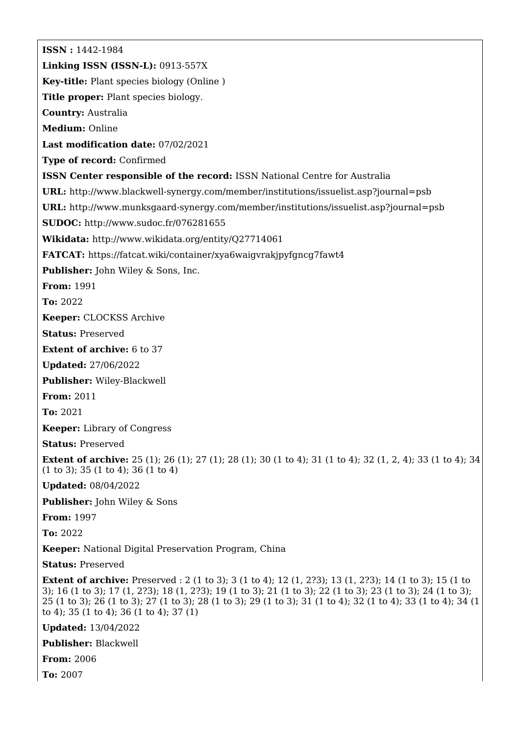**ISSN :** 1442-1984 **Linking ISSN (ISSN-L):** 0913-557X **Key-title:** Plant species biology (Online ) **Title proper:** Plant species biology. **Country:** Australia **Medium:** Online **Last modification date:** 07/02/2021 **Type of record:** Confirmed **ISSN Center responsible of the record:** ISSN National Centre for Australia **URL:** <http://www.blackwell-synergy.com/member/institutions/issuelist.asp?journal=psb> **URL:** <http://www.munksgaard-synergy.com/member/institutions/issuelist.asp?journal=psb> **SUDOC:** <http://www.sudoc.fr/076281655> **Wikidata:** <http://www.wikidata.org/entity/Q27714061> **FATCAT:** <https://fatcat.wiki/container/xya6waigvrakjpyfgncg7fawt4> **Publisher:** John Wiley & Sons, Inc. **From:** 1991 **To:** 2022 **Keeper:** CLOCKSS Archive **Status:** Preserved **Extent of archive:** 6 to 37 **Updated:** 27/06/2022 **Publisher:** Wiley-Blackwell **From:** 2011 **To:** 2021 **Keeper:** Library of Congress **Status:** Preserved **Extent of archive:** 25 (1); 26 (1); 27 (1); 28 (1); 30 (1 to 4); 31 (1 to 4); 32 (1, 2, 4); 33 (1 to 4); 34 (1 to 3); 35 (1 to 4); 36 (1 to 4) **Updated:** 08/04/2022 **Publisher:** John Wiley & Sons **From:** 1997 **To:** 2022 **Keeper:** National Digital Preservation Program, China **Status:** Preserved **Extent of archive:** Preserved : 2 (1 to 3); 3 (1 to 4); 12 (1, 2?3); 13 (1, 2?3); 14 (1 to 3); 15 (1 to 3); 16 (1 to 3); 17 (1, 2?3); 18 (1, 2?3); 19 (1 to 3); 21 (1 to 3); 22 (1 to 3); 23 (1 to 3); 24 (1 to 3); 25 (1 to 3); 26 (1 to 3); 27 (1 to 3); 28 (1 to 3); 29 (1 to 3); 31 (1 to 4); 32 (1 to 4); 33 (1 to 4); 34 (1 to 4); 35 (1 to 4); 36 (1 to 4); 37 (1) **Updated:** 13/04/2022

**Publisher:** Blackwell

**From:** 2006

**To:** 2007